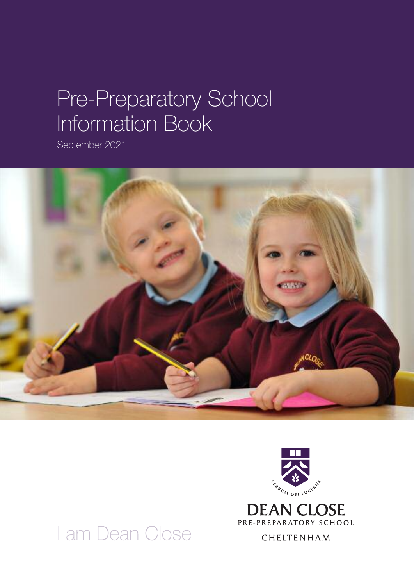# Pre-Preparatory School Information Book

September 2021





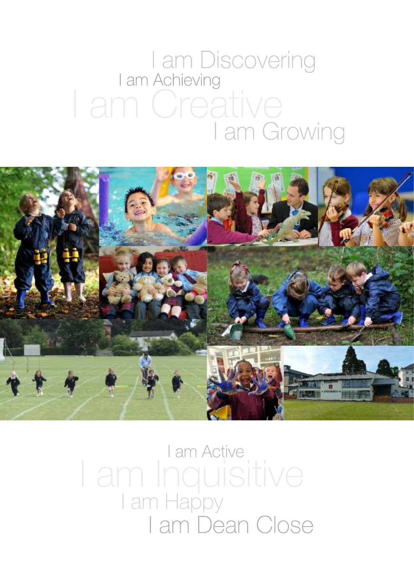# I am Discovering<br>I am Achieving I am Creative<br>I am Growing



I am Active I am Inquisitive I am Happy I am Dean Close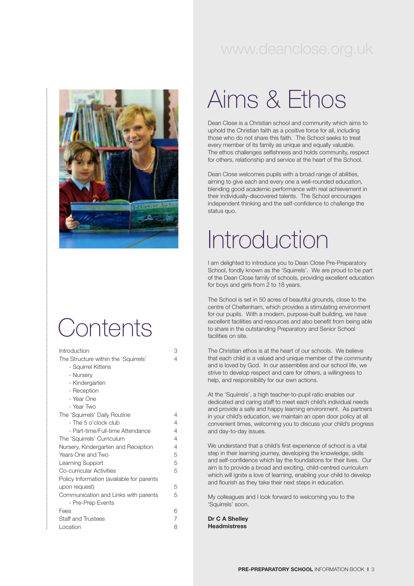### www.deanclose.org.uk



## **Contents**

| Introduction                              | 3 |
|-------------------------------------------|---|
| The Structure within the 'Squirrels'      | 4 |
| - Squirrel Kittens                        |   |
| - Nursery                                 |   |
| - Kindergarten                            |   |
| - Reception                               |   |
| - Year One                                |   |
| - Year Two                                |   |
| The 'Squirrels' Daily Routine             | 4 |
| - The 5 o'clock club                      | 4 |
| - Part-time/Full-time Attendance          | 4 |
| The 'Squirrels' Curriculum                | 4 |
| Nursery, Kindergarten and Reception       |   |
| Years One and Two                         |   |
| Learning Support                          | 5 |
| Co-curricular Activities                  | 5 |
| Policy Information (available for parents |   |
| upon request)                             | 5 |
| Communication and Links with parents      | 5 |
| - Pre-Prep Events                         |   |
| Fees                                      | 6 |
| <b>Staff and Trustees</b>                 | 7 |
| Location                                  | 8 |
|                                           |   |

# Aims & Ethos

Dean Close is a Christian school and community which aims to uphold the Christian faith as a positive force for all, including those who do not share this faith. The School seeks to treat every member of its family as unique and equally valuable. The ethos challenges selfishness and holds community, respect for others, relationship and service at the heart of the School.

Dean Close welcomes pupils with a broad range of abilities, aiming to give each and every one a well-rounded education, blending good academic performance with real achievement in their individually-discovered talents. The School encourages independent thinking and the self-confidence to challenge the status quo.

# Introduction

I am delighted to introduce you to Dean Close Pre-Preparatory School, fondly known as the 'Squirrels'. We are proud to be part of the Dean Close family of schools, providing excellent education for boys and girls from 2 to 18 years.

The School is set in 50 acres of beautiful grounds, close to the centre of Cheltenham, which provides a stimulating environment for our pupils. With a modern, purpose-built building, we have excellent facilities and resources and also benefit from being able to share in the outstanding Preparatory and Senior School facilities on site.

The Christian ethos is at the heart of our schools. We believe that each child is a valued and unique member of the community and is loved by God. In our assemblies and our school life, we strive to develop respect and care for others, a willingness to help, and responsibility for our own actions.

At the 'Squirrels', a high teacher-to-pupil ratio enables our dedicated and caring staff to meet each child's individual needs and provide a safe and happy learning environment. As partners in your child's education, we maintain an open door policy at all convenient times, welcoming you to discuss your child's progress and day-to-day issues.

We understand that a child's first experience of school is a vital step in their learning journey, developing the knowledge, skills and self-confidence which lay the foundations for their lives. Our aim is to provide a broad and exciting, child-centred curriculum which will ignite a love of learning, enabling your child to develop and flourish as they take their next steps in education.

My colleagues and I look forward to welcoming you to the 'Squirrels' soon.

**Dr C A Shelley Headmistress**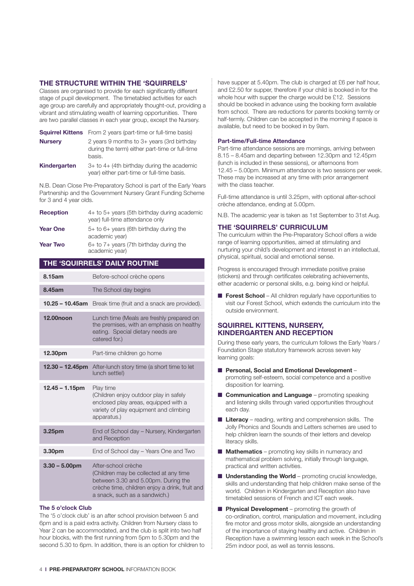#### **THE STRUCTURE WITHIN THE 'SQUIRRELS'**

Classes are organised to provide for each significantly different stage of pupil development. The timetabled activities for each age group are carefully and appropriately thought-out, providing a vibrant and stimulating wealth of learning opportunities. There are two parallel classes in each year group, except the Nursery.

|                | <b>Squirrel Kittens</b> From 2 years (part-time or full-time basis)                                      |
|----------------|----------------------------------------------------------------------------------------------------------|
| <b>Nursery</b> | 2 years 9 months to $3+$ years (3rd birthday<br>during the term) either part-time or full-time<br>basis. |
| Kindergarten   | $3+$ to $4+$ (4th birthday during the academic<br>year) either part-time or full-time basis.             |

N.B. Dean Close Pre-Preparatory School is part of the Early Years Partnership and the Government Nursery Grant Funding Scheme for 3 and 4 year olds.

| <b>Reception</b> | 4+ to 5+ years (5th birthday during academic<br>year) full-time attendance only |
|------------------|---------------------------------------------------------------------------------|
| <b>Year One</b>  | $5+$ to $6+$ years (6th birthday during the<br>academic year)                   |
| <b>Year Two</b>  | $6+$ to $7+$ years (7th birthday during the<br>academic year)                   |

#### **THE 'SQUIRRELS' DAILY ROUTINE**

| Before-school crèche opens                                                                                                                                                              |
|-----------------------------------------------------------------------------------------------------------------------------------------------------------------------------------------|
| The School day begins                                                                                                                                                                   |
| $10.25 - 10.45$ am<br>Break time (fruit and a snack are provided).                                                                                                                      |
| Lunch time (Meals are freshly prepared on<br>the premises, with an emphasis on healthy<br>eating. Special dietary needs are<br>catered for.)                                            |
| Part-time children go home                                                                                                                                                              |
| After-lunch story time (a short time to let<br>lunch settle!)                                                                                                                           |
| Play time<br>(Children enjoy outdoor play in safely<br>enclosed play areas, equipped with a<br>variety of play equipment and climbing<br>apparatus.)                                    |
| End of School day - Nursery, Kindergarten<br>and Reception                                                                                                                              |
| End of School day – Years One and Two                                                                                                                                                   |
| After-school crèche<br>(Children may be collected at any time<br>between 3.30 and 5.00pm. During the<br>crèche time, children enjoy a drink, fruit and<br>a snack, such as a sandwich.) |
|                                                                                                                                                                                         |

#### **The 5 o'clock Club**

The '5 o'clock club' is an after school provision between 5 and 6pm and is a paid extra activity. Children from Nursery class to Year 2 can be accommodated, and the club is split into two half hour blocks, with the first running from 5pm to 5.30pm and the second 5.30 to 6pm. In addition, there is an option for children to have supper at 5.40pm. The club is charged at £6 per half hour. and £2.50 for supper, therefore if your child is booked in for the whole hour with supper the charge would be £12. Sessions should be booked in advance using the booking form available from school. There are reductions for parents booking termly or half-termly. Children can be accepted in the morning if space is available, but need to be booked in by 9am.

#### **Part-time/Full-time Attendance**

Part-time attendance sessions are mornings, arriving between 8.15 – 8.45am and departing between 12.30pm and 12.45pm (lunch is included in these sessions), or afternoons from 12.45 – 5.00pm. Minimum attendance is two sessions per week. These may be increased at any time with prior arrangement with the class teacher

Full-time attendance is until 3.25pm, with optional after-school crèche attendance, ending at 5.00pm.

N.B. The academic year is taken as 1st September to 31st Aug.

#### **THE 'SQUIRRELS' CURRICULUM**

The curriculum within the Pre-Preparatory School offers a wide range of learning opportunities, aimed at stimulating and nurturing your child's development and interest in an intellectual, physical, spiritual, social and emotional sense.

Progress is encouraged through immediate positive praise (stickers) and through certificates celebrating achievements, either academic or personal skills, e.g. being kind or helpful.

**Forest School** – All children regularly have opportunities to visit our Forest School, which extends the curriculum into the outside environment.

#### **SQUIRREL KITTENS, NURSERY, KINDERGARTEN AND RECEPTION**

During these early years, the curriculum follows the Early Years / Foundation Stage statutory framework across seven key learning goals:

- n **Personal, Social and Emotional Development** promoting self-esteem, social competence and a positive disposition for learning.
- **n Communication and Language** promoting speaking and listening skills through varied opportunities throughout each day.
- **Literacy** reading, writing and comprehension skills. The Jolly Phonics and Sounds and Letters schemes are used to help children learn the sounds of their letters and develop literacy skills.
- **n Mathematics** promoting key skills in numeracy and mathematical problem solving, initially through language, practical and written activities.
- **n Understanding the World** promoting crucial knowledge, skills and understanding that help children make sense of the world. Children in Kindergarten and Reception also have timetabled sessions of French and ICT each week.
- **n** Physical Development promoting the growth of co-ordination, control, manipulation and movement, including fire motor and gross motor skills, alongside an understanding of the importance of staying healthy and active. Children in Reception have a swimming lesson each week in the School's 25m indoor pool, as well as tennis lessons.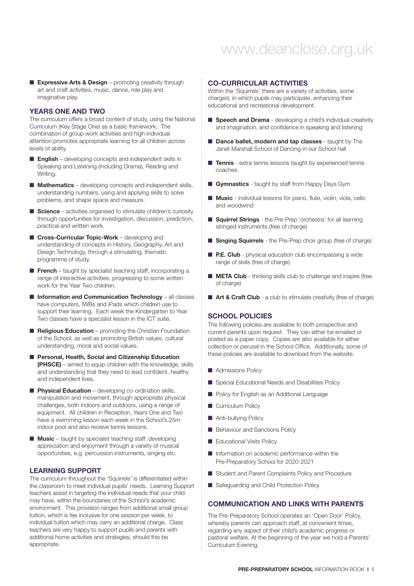### www.deanclose.org.uk

**Expressive Arts & Design** – promoting creativity through art and craft activities, music, dance, role play and imaginative play.

#### **YEARS ONE AND TWO**

The curriculum offers a broad content of study, using the National Curriculum (Key Stage One) as a basic framework. The combination of group work activities and high individual attention promotes appropriate learning for all children across levels of ability.

- **English** developing concepts and independent skills in Speaking and Listening (including Drama), Reading and Writing.
- **n Mathematics** developing concepts and independent skills, understanding numbers, using and applying skills to solve problems, and shape space and measure.
- **Science** activities organised to stimulate children's curiosity through opportunities for investigation, discussion, prediction, practical and written work.
- **n** Cross-Curricular Topic-Work developing and understanding of concepts in History, Geography, Art and Design Technology, through a stimulating, thematic programme of study.
- **French** taught by specialist teaching staff, incorporating a range of interactive activities, progressing to some written work for the Year Two children.
- $\blacksquare$  Information and Communication Technology all classes have computers, IWBs and iPads which children use to support their learning. Each week the Kindergarten to Year Two classes have a specialist lesson in the ICT suite.
- n **Religious Education** promoting the Christian Foundation of the School, as well as promoting British values, cultural understanding, moral and social values.
- n **Personal, Health, Social and Citizenship Education (PHSCE)** – aimed to equip children with the knowledge, skills and understanding that they need to lead confident, healthy and independent lives.
- **n Physical Education** developing co-ordination skills, manipulation and movement, through appropriate physical challenges, both indoors and outdoors, using a range of equipment. All children in Reception, Years One and Two have a swimming lesson each week in the School's 25m indoor pool and also receive tennis lessons.
- **n Music** taught by specialist teaching staff: developing appreciation and enjoyment through a variety of musical opportunities, e.g. percussion instruments, singing etc.

#### **LEARNING SUPPORT**

The curriculum throughout the 'Squirrels' is differentiated within the classroom to meet individual pupils' needs. Learning Support teachers assist in targeting the individual needs that your child may have, within the boundaries of the School's academic environment. This provision ranges from additional small group tuition, which is fee inclusive for one session per week, to individual tuition which may carry an additional charge. Class teachers are very happy to support pupils and parents with additional home activities and strategies, should this be appropriate.

#### **CO-CURRICULAR ACTIVITIES**

Within the 'Squirrels' there are a variety of activities, some charged, in which pupils may participate, enhancing their educational and recreational development.

- **n** Speech and Drama developing a child's individual creativity and imagination, and confidence in speaking and listening
- n **Dance ballet, modern and tap classes** taught by The Janet Marshall School of Dancing in our School hall
- **Tennis** extra tennis lessons taught by experienced tennis coaches
- **Gymnastics** taught by staff from Happy Days Gym
- n **Music** individual lessons for piano, flute, violin, viola, cello and woodwind
- n **Squirrel Strings** the Pre-Prep 'orchestra' for all learning stringed instruments (free of charge)
- **n** Singing Squirrels the Pre-Prep choir group (free of charge)
- **P.E. Club** physical education club encompassing a wide range of skills (free of charge)
- **n META Club** thinking skills club to challenge and inspire (free of charge)
- **n Art & Craft Club** a club to stimulate creativity (free of charge)

#### **SCHOOL POLICIES**

The following policies are available to both prospective and current parents upon request. They can either be emailed or posted as a paper copy. Copies are also available for either collection or perusal in the School Office. Additionally, some of these policies are available to download from the website.

- **n** Admissions Policy
- Special Educational Needs and Disabilities Policy
- **n** Policy for English as an Additional Language
- **n** Curriculum Policy
- **n** Anti-bullying Policy
- **n** Behaviour and Sanctions Policy
- **E** Educational Visits Policy
- $\blacksquare$  Information on academic performance within the Pre-Preparatory School for 2020-2021
- Student and Parent Complaints Policy and Procedure
- Safeguarding and Child Protection Policy

#### **COMMUNICATION AND LINKS WITH PARENTS**

The Pre-Preparatory School operates an 'Open Door' Policy, whereby parents can approach staff, at convenient times, regarding any aspect of their child's academic progress or pastoral welfare. At the beginning of the year we hold a Parents' Curriculum Evening.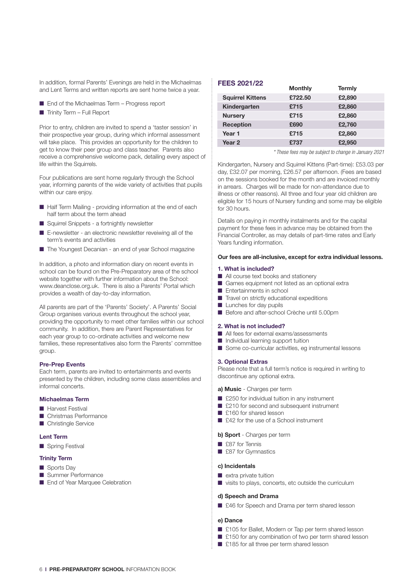In addition, formal Parents' Evenings are held in the Michaelmas and Lent Terms and written reports are sent home twice a year.

- End of the Michaelmas Term Progress report
- $\blacksquare$  Trinity Term Full Report

Prior to entry, children are invited to spend a 'taster session' in their prospective year group, during which informal assessment will take place. This provides an opportunity for the children to get to know their peer group and class teacher. Parents also receive a comprehensive welcome pack, detailing every aspect of life within the Squirrels.

Four publications are sent home regularly through the School year, informing parents of the wide variety of activities that pupils within our care enjoy.

- $\blacksquare$  Half Term Mailing providing information at the end of each half term about the term ahead
- Squirrel Snippets a fortnightly newsletter
- $\blacksquare$  E-newsletter an electronic newsletter reveiwing all of the term's events and activities
- The Youngest Decanian an end of year School magazine

In addition, a photo and information diary on recent events in school can be found on the Pre-Preparatory area of the school website together with further information about the School: www.deanclose.org.uk. There is also a Parents' Portal which provides a wealth of day-to-day information.

All parents are part of the 'Parents' Society'. A Parents' Social Group organises various events throughout the school year, providing the opportunity to meet other families within our school community. In addition, there are Parent Representatives for each year group to co-ordinate activities and welcome new families, these representatives also form the Parents' committee group.

#### **Pre-Prep Events**

Each term, parents are invited to entertainments and events presented by the children, including some class assemblies and informal concerts.

#### **Michaelmas Term**

- **N** Harvest Festival
- **n** Christmas Performance
- **n** Christingle Service

#### **Lent Term**

Spring Festival

#### **Trinity Term**

- **n** Sports Day
- **n** Summer Performance
- End of Year Marquee Celebration

#### **FEES 2021/22**

|                         | <b>Monthly</b> | Termly |
|-------------------------|----------------|--------|
| <b>Squirrel Kittens</b> | £722.50        | £2,890 |
| Kindergarten            | £715           | £2,860 |
| <b>Nursery</b>          | £715           | £2,860 |
| <b>Reception</b>        | £690           | £2,760 |
| Year 1                  | £715           | £2,860 |
| Year <sub>2</sub>       | £737           | £2,950 |
|                         |                |        |

*\* These fees may be subject to change in January 2021*

Kindergarten, Nursery and Squirrel Kittens (Part-time): £53.03 per day, £32.07 per morning, £26.57 per afternoon. (Fees are based on the sessions booked for the month and are invoiced monthly in arrears. Charges will be made for non-attendance due to illness or other reasons). All three and four year old children are eligible for 15 hours of Nursery funding and some may be eligible for 30 hours.

Details on paying in monthly instalments and for the capital payment for these fees in advance may be obtained from the Financial Controller, as may details of part-time rates and Early Years funding information.

#### **Our fees are all-inclusive, except for extra individual lessons.**

#### **1. What is included?**

- $\blacksquare$  All course text books and stationery
- $\blacksquare$  Games equipment not listed as an optional extra
- $\blacksquare$  Entertainments in school
- $\blacksquare$  Travel on strictly educational expeditions
- $\blacksquare$  Lunches for day pupils
- Before and after-school Crèche until 5.00pm

#### **2. What is not included?**

- All fees for external exams/assessments
- $\blacksquare$  Individual learning support tuition
- $\blacksquare$  Some co-curricular activities, eg instrumental lessons

#### **3. Optional Extras**

Please note that a full term's notice is required in writing to discontinue any optional extra.

#### **a) Music** - Charges per term

- $\Box$  £250 for individual tuition in any instrument
- £210 for second and subsequent instrument
- £160 for shared lesson
- £42 for the use of a School instrument

#### **b) Sport** - Charges per term

- $\Box$  £87 for Tennis
- £87 for Gymnastics

#### **c) Incidentals**

- $\blacksquare$  extra private tuition
- $\blacksquare$  visits to plays, concerts, etc outside the curriculum

#### **d) Speech and Drama**

■ £46 for Speech and Drama per term shared lesson

#### **e) Dance**

- £105 for Ballet, Modern or Tap per term shared lesson
- £150 for any combination of two per term shared lesson
- £185 for all three per term shared lesson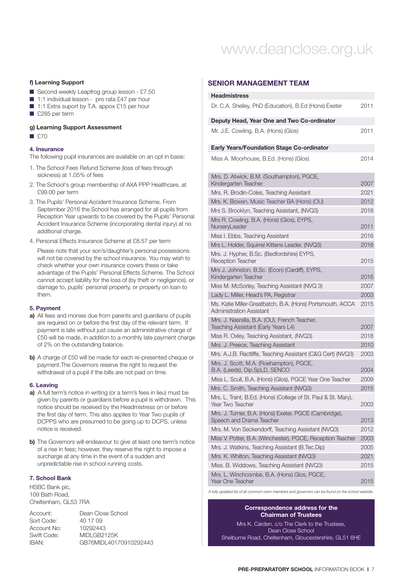### www.deanclose.org.uk

#### **f) Learning Support**

- $\blacksquare$  Second weekly Leapfrog group lesson £7.50
- 1:1 individual lesson pro rata £47 per hour
- 1:1 Extra suport by T.A. appox £15 per hour
- £285 per term

#### **g) Learning Support Assessment**

 $P70$ 

#### **4. Insurance**

- The following pupil insurances are available on an opt in basis:
- 1. The School Fees Refund Scheme (loss of fees through sickness) at 1.05% of fees
- 2. The School's group membership of AXA PPP Healthcare, at £99.00 per term
- 3. The Pupils' Personal Accident Insurance Scheme. From September 2016 the School has arranged for all pupils from Reception Year upwards to be covered by the Pupils' Personal Accident Insurance Scheme (incorporating dental injury) at no additional charge.
- 4. Personal Effects Insurance Scheme at £8.57 per term

Please note that your son's/daughter's personal possessions will not be covered by the school insurance. You may wish to check whether your own insurance covers these or take advantage of the Pupils' Personal Effects Scheme. The School cannot accept liability for the loss of (by theft or negligence), or damage to, pupils' personal property, or property on loan to them.

#### **5. Payment**

- **a)** All fees and monies due from parents and guardians of pupils are required on or before the first day of the relevant term. If payment is late without just cause an administrative charge of £50 will be made, in addition to a monthly late payment charge of 2% on the outstanding balance.
- **b)** A charge of £50 will be made for each re-presented cheque or payment.The Governors reserve the right to request the withdrawal of a pupil if the bills are not paid on time.

#### **6. Leaving**

- **a)** A full term's notice in writing (or a term's fees in lieu) must be given by parents or guardians before a pupil is withdrawn. This notice should be received by the Headmistress on or before the first day of term. This also applies to Year Two pupils of DCPPS who are presumed to be going up to DCPS, unless notice is received.
- **b)** The Governors will endeavour to give at least one term's notice of a rise in fees; however, they reserve the right to impose a surcharge at any time in the event of a sudden and unpredictable rise in school running costs.

#### **7. School Bank**

HSBC Bank plc, 109 Bath Road, Cheltenham, GL53 7RA

| Account:    | Dean Close School      |
|-------------|------------------------|
| Sort Code:  | 40 17 09               |
| Account No: | 10292443               |
| Swift Code: | MIDI GB2125K           |
| IRAN:       | GB76MIDL40170910292443 |
|             |                        |

#### **SENIOR MANAGEMENT TEAM**

| <b>Headmistress</b>                                                                   |      |
|---------------------------------------------------------------------------------------|------|
| Dr. C.A. Shelley, PhD (Education), B.Ed (Hons) Exeter                                 | 2011 |
| Deputy Head, Year One and Two Co-ordinator                                            |      |
| Mr. J.E. Cowling, B.A. (Hons) (Glos)                                                  | 2011 |
| <b>Early Years/Foundation Stage Co-ordinator</b>                                      |      |
| Miss A. Moorhouse, B.Ed. (Hons) (Glos)                                                | 2014 |
| Mrs. D. Atwick, B.M. (Southampton), PGCE,<br>Kindergarten Teacher                     | 2007 |
| Mrs. R. Brodin-Coles, Teaching Assistant                                              | 2021 |
| Mrs. K. Bowen, Music Teacher BA (Hons) (OU)                                           | 2012 |
| Mrs S. Brooklyn, Teaching Assistant, (NVQ3)                                           | 2018 |
| Mrs R. Cowling, B.A. (Hons) (Glos), EYPS,<br>NurseryLeader                            | 2011 |
| Miss I. Ebbs, Teaching Assistant                                                      | 2016 |
| Mrs L. Holder, Squirrel Kittens Leader, (NVQ3)                                        | 2016 |
| Mrs. J. Hypher, B.Sc. (Bedfordshire) EYPS,<br><b>Reception Teacher</b>                | 2015 |
| Mrs J. Johnston, B.Sc. (Econ) (Cardiff), EYPS,<br>Kindergarten Teacher                | 2016 |
| Miss M. McSorley, Teaching Assistant (NVQ 3)                                          | 2007 |
| Lady L. Miller, Head's PA, Registrar                                                  | 2003 |
| Ms. Katie Miller-Greatbatch, B.A. (Hons) Portsmouth. ACCA<br>Administration Assistant | 2015 |
| Mrs. J. Nasralla, B.A. (OU), French Teacher,<br>Teaching Assistant (Early Years L4)   | 2007 |
| Miss R. Oxley, Teaching Assistant, (NVQ3)                                             | 2018 |
| Mrs. J. Preece, Teaching Assistant                                                    | 2010 |
| Mrs. A.J.B. Ractliffe, Teaching Assistant (C&G Cert) (NVQ3)                           | 2003 |
| Mrs. J. Scott, M.A. (Roehampton), PGCE,<br>B.A. (Leeds), Dip.SpLD, SENCO              | 2004 |
| Miss L. Scull, B.A. (Hons) (Glos), PGCE Year One Teacher                              | 2009 |
| Mrs. C. Smith, Teaching Assistant (NVQ3)                                              | 2015 |
| Mrs. L. Trant, B.Ed. (Hons) (College of St. Paul & St. Mary),<br>Year Two Teacher     | 2003 |
| Mrs. J. Turner, B.A. (Hons) Exeter, PGCE (Cambridge),<br>Speech and Drama Teacher     | 2013 |
| Mrs. M. Von Seckendorff, Teaching Assistant (NVQ3)                                    | 2012 |
| Miss V. Potter, B.A. (Winchester), PGCE, Reception Teacher                            | 2003 |
| Mrs. J. Watkins, Teaching Assistant (B.Tec.Dip)                                       | 2005 |
| Mrs. K. Whilton, Teaching Assistant (NVQ3)                                            | 2021 |
| Miss. B. Widdows, Teaching Assistant (NVQ3)                                           | 2015 |
| Mrs. L. Winchcombe, B.A. (Hons) Glos, PGCE,<br>Year One Teacher                       | 2015 |

*A fully updated list of all common room members and governors can be found on the school website.*

#### **Correspondence address for the Chairman of Trustees**

Mrs K. Carden, c/o The Clerk to the Trustees, Dean Close School Shelburne Road, Cheltenham, Gloucestershire, GL51 6HE